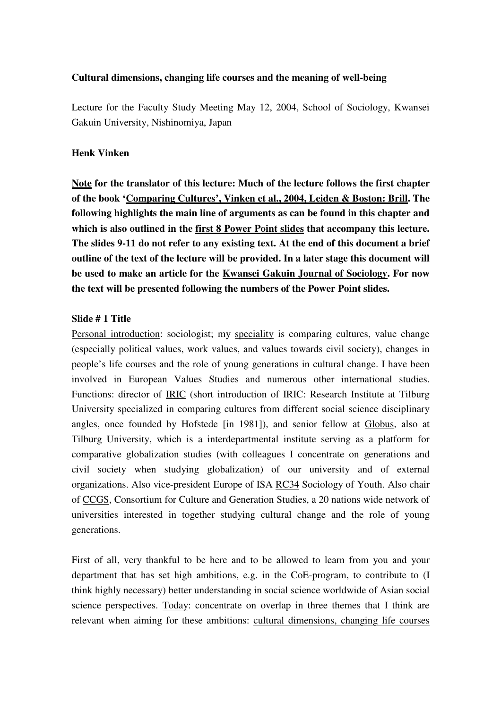## **Cultural dimensions, changing life courses and the meaning of well-being**

Lecture for the Faculty Study Meeting May 12, 2004, School of Sociology, Kwansei Gakuin University, Nishinomiya, Japan

# **Henk Vinken**

**Note for the translator of this lecture: Much of the lecture follows the first chapter of the book 'Comparing Cultures', Vinken et al., 2004, Leiden & Boston: Brill. The following highlights the main line of arguments as can be found in this chapter and which is also outlined in the first 8 Power Point slides that accompany this lecture. The slides 9-11 do not refer to any existing text. At the end of this document a brief outline of the text of the lecture will be provided. In a later stage this document will be used to make an article for the Kwansei Gakuin Journal of Sociology. For now the text will be presented following the numbers of the Power Point slides.**

### **Slide # 1 Title**

Personal introduction: sociologist; my speciality is comparing cultures, value change (especially political values, work values, and values towards civil society), changes in people's life courses and the role of young generations in cultural change. I have been involved in European Values Studies and numerous other international studies. Functions: director of IRIC (short introduction of IRIC: Research Institute at Tilburg University specialized in comparing cultures from different social science disciplinary angles, once founded by Hofstede [in 1981]), and senior fellow at Globus, also at Tilburg University, which is a interdepartmental institute serving as a platform for comparative globalization studies (with colleagues I concentrate on generations and civil society when studying globalization) of our university and of external organizations. Also vice-president Europe of ISA RC34 Sociology of Youth. Also chair of CCGS, Consortium for Culture and Generation Studies, a 20 nations wide network of universities interested in together studying cultural change and the role of young generations.

First of all, very thankful to be here and to be allowed to learn from you and your department that has set high ambitions, e.g. in the CoE-program, to contribute to (I think highly necessary) better understanding in social science worldwide of Asian social science perspectives. Today: concentrate on overlap in three themes that I think are relevant when aiming for these ambitions: cultural dimensions, changing life courses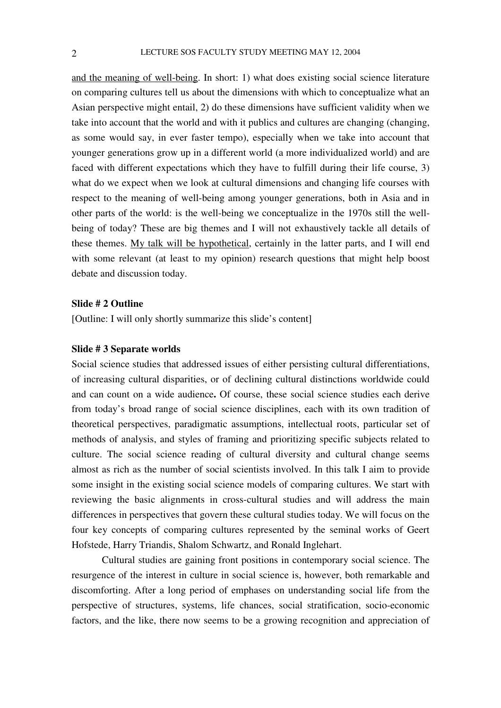and the meaning of well-being. In short: 1) what does existing social science literature on comparing cultures tell us about the dimensions with which to conceptualize what an Asian perspective might entail, 2) do these dimensions have sufficient validity when we take into account that the world and with it publics and cultures are changing (changing, as some would say, in ever faster tempo), especially when we take into account that younger generations grow up in a different world (a more individualized world) and are faced with different expectations which they have to fulfill during their life course, 3) what do we expect when we look at cultural dimensions and changing life courses with respect to the meaning of well-being among younger generations, both in Asia and in other parts of the world: is the well-being we conceptualize in the 1970s still the wellbeing of today? These are big themes and I will not exhaustively tackle all details of these themes. My talk will be hypothetical, certainly in the latter parts, and I will end with some relevant (at least to my opinion) research questions that might help boost debate and discussion today.

### **Slide # 2 Outline**

[Outline: I will only shortly summarize this slide's content]

### **Slide # 3 Separate worlds**

Social science studies that addressed issues of either persisting cultural differentiations, of increasing cultural disparities, or of declining cultural distinctions worldwide could and can count on a wide audience**.** Of course, these social science studies each derive from today's broad range of social science disciplines, each with its own tradition of theoretical perspectives, paradigmatic assumptions, intellectual roots, particular set of methods of analysis, and styles of framing and prioritizing specific subjects related to culture. The social science reading of cultural diversity and cultural change seems almost as rich as the number of social scientists involved. In this talk I aim to provide some insight in the existing social science models of comparing cultures. We start with reviewing the basic alignments in cross-cultural studies and will address the main differences in perspectives that govern these cultural studies today. We will focus on the four key concepts of comparing cultures represented by the seminal works of Geert Hofstede, Harry Triandis, Shalom Schwartz, and Ronald Inglehart.

Cultural studies are gaining front positions in contemporary social science. The resurgence of the interest in culture in social science is, however, both remarkable and discomforting. After a long period of emphases on understanding social life from the perspective of structures, systems, life chances, social stratification, socio-economic factors, and the like, there now seems to be a growing recognition and appreciation of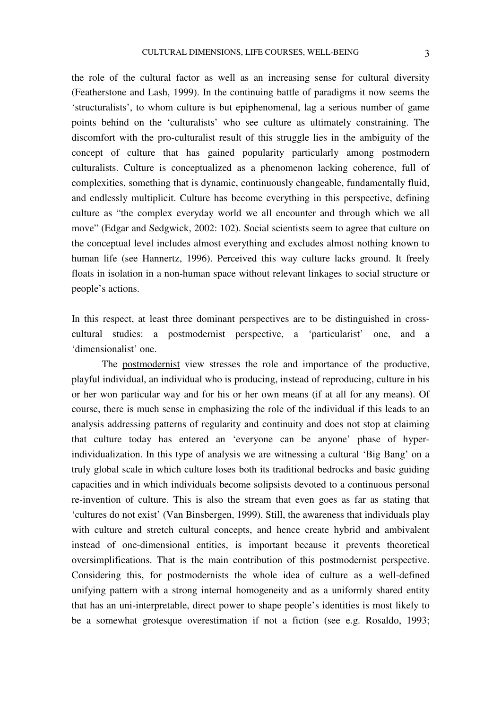the role of the cultural factor as well as an increasing sense for cultural diversity (Featherstone and Lash, 1999). In the continuing battle of paradigms it now seems the 'structuralists', to whom culture is but epiphenomenal, lag a serious number of game points behind on the 'culturalists' who see culture as ultimately constraining. The discomfort with the pro-culturalist result of this struggle lies in the ambiguity of the concept of culture that has gained popularity particularly among postmodern culturalists. Culture is conceptualized as a phenomenon lacking coherence, full of complexities, something that is dynamic, continuously changeable, fundamentally fluid, and endlessly multiplicit. Culture has become everything in this perspective, defining culture as "the complex everyday world we all encounter and through which we all move" (Edgar and Sedgwick, 2002: 102). Social scientists seem to agree that culture on the conceptual level includes almost everything and excludes almost nothing known to human life (see Hannertz, 1996). Perceived this way culture lacks ground. It freely floats in isolation in a non-human space without relevant linkages to social structure or people's actions.

In this respect, at least three dominant perspectives are to be distinguished in crosscultural studies: a postmodernist perspective, a 'particularist' one, and a 'dimensionalist' one.

The postmodernist view stresses the role and importance of the productive, playful individual, an individual who is producing, instead of reproducing, culture in his or her won particular way and for his or her own means (if at all for any means). Of course, there is much sense in emphasizing the role of the individual if this leads to an analysis addressing patterns of regularity and continuity and does not stop at claiming that culture today has entered an 'everyone can be anyone' phase of hyperindividualization. In this type of analysis we are witnessing a cultural 'Big Bang' on a truly global scale in which culture loses both its traditional bedrocks and basic guiding capacities and in which individuals become solipsists devoted to a continuous personal re-invention of culture. This is also the stream that even goes as far as stating that 'cultures do not exist' (Van Binsbergen, 1999). Still, the awareness that individuals play with culture and stretch cultural concepts, and hence create hybrid and ambivalent instead of one-dimensional entities, is important because it prevents theoretical oversimplifications. That is the main contribution of this postmodernist perspective. Considering this, for postmodernists the whole idea of culture as a well-defined unifying pattern with a strong internal homogeneity and as a uniformly shared entity that has an uni-interpretable, direct power to shape people's identities is most likely to be a somewhat grotesque overestimation if not a fiction (see e.g. Rosaldo, 1993;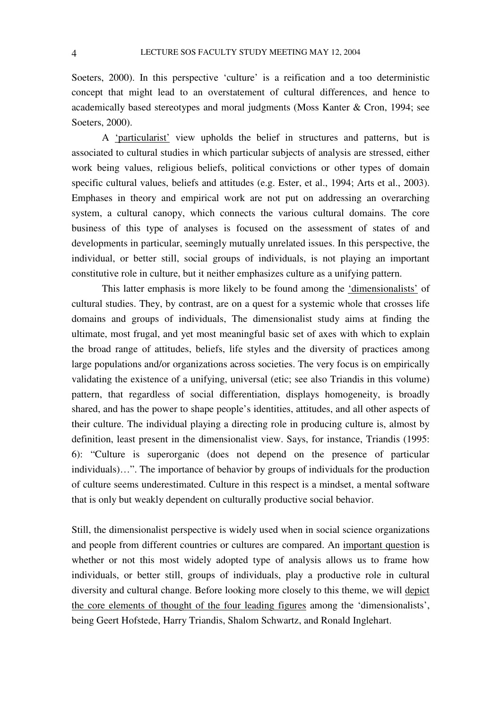Soeters, 2000). In this perspective 'culture' is a reification and a too deterministic concept that might lead to an overstatement of cultural differences, and hence to academically based stereotypes and moral judgments (Moss Kanter & Cron, 1994; see Soeters, 2000).

A 'particularist' view upholds the belief in structures and patterns, but is associated to cultural studies in which particular subjects of analysis are stressed, either work being values, religious beliefs, political convictions or other types of domain specific cultural values, beliefs and attitudes (e.g. Ester, et al., 1994; Arts et al., 2003). Emphases in theory and empirical work are not put on addressing an overarching system, a cultural canopy, which connects the various cultural domains. The core business of this type of analyses is focused on the assessment of states of and developments in particular, seemingly mutually unrelated issues. In this perspective, the individual, or better still, social groups of individuals, is not playing an important constitutive role in culture, but it neither emphasizes culture as a unifying pattern.

This latter emphasis is more likely to be found among the 'dimensionalists' of cultural studies. They, by contrast, are on a quest for a systemic whole that crosses life domains and groups of individuals, The dimensionalist study aims at finding the ultimate, most frugal, and yet most meaningful basic set of axes with which to explain the broad range of attitudes, beliefs, life styles and the diversity of practices among large populations and/or organizations across societies. The very focus is on empirically validating the existence of a unifying, universal (etic; see also Triandis in this volume) pattern, that regardless of social differentiation, displays homogeneity, is broadly shared, and has the power to shape people's identities, attitudes, and all other aspects of their culture. The individual playing a directing role in producing culture is, almost by definition, least present in the dimensionalist view. Says, for instance, Triandis (1995: 6): "Culture is superorganic (does not depend on the presence of particular individuals)…". The importance of behavior by groups of individuals for the production of culture seems underestimated. Culture in this respect is a mindset, a mental software that is only but weakly dependent on culturally productive social behavior.

Still, the dimensionalist perspective is widely used when in social science organizations and people from different countries or cultures are compared. An important question is whether or not this most widely adopted type of analysis allows us to frame how individuals, or better still, groups of individuals, play a productive role in cultural diversity and cultural change. Before looking more closely to this theme, we will depict the core elements of thought of the four leading figures among the 'dimensionalists', being Geert Hofstede, Harry Triandis, Shalom Schwartz, and Ronald Inglehart.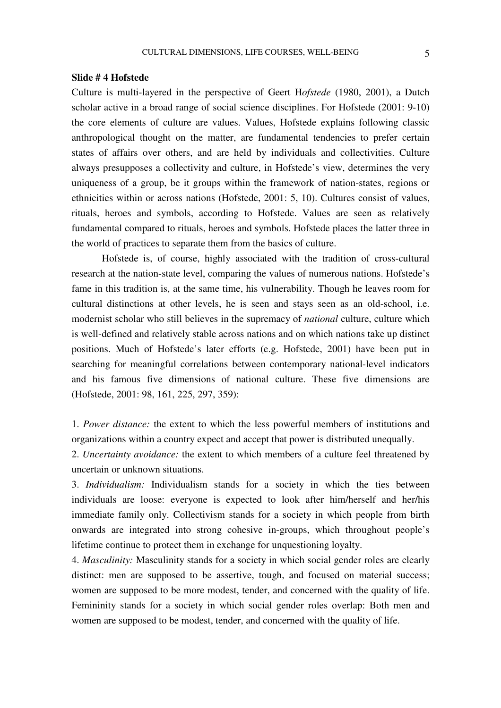### **Slide # 4 Hofstede**

Culture is multi-layered in the perspective of Geert H*ofstede* (1980, 2001), a Dutch scholar active in a broad range of social science disciplines. For Hofstede (2001: 9-10) the core elements of culture are values. Values, Hofstede explains following classic anthropological thought on the matter, are fundamental tendencies to prefer certain states of affairs over others, and are held by individuals and collectivities. Culture always presupposes a collectivity and culture, in Hofstede's view, determines the very uniqueness of a group, be it groups within the framework of nation-states, regions or ethnicities within or across nations (Hofstede, 2001: 5, 10). Cultures consist of values, rituals, heroes and symbols, according to Hofstede. Values are seen as relatively fundamental compared to rituals, heroes and symbols. Hofstede places the latter three in the world of practices to separate them from the basics of culture.

Hofstede is, of course, highly associated with the tradition of cross-cultural research at the nation-state level, comparing the values of numerous nations. Hofstede's fame in this tradition is, at the same time, his vulnerability. Though he leaves room for cultural distinctions at other levels, he is seen and stays seen as an old-school, i.e. modernist scholar who still believes in the supremacy of *national* culture, culture which is well-defined and relatively stable across nations and on which nations take up distinct positions. Much of Hofstede's later efforts (e.g. Hofstede, 2001) have been put in searching for meaningful correlations between contemporary national-level indicators and his famous five dimensions of national culture. These five dimensions are (Hofstede, 2001: 98, 161, 225, 297, 359):

1. *Power distance:* the extent to which the less powerful members of institutions and organizations within a country expect and accept that power is distributed unequally.

2. *Uncertainty avoidance:* the extent to which members of a culture feel threatened by uncertain or unknown situations.

3. *Individualism:* Individualism stands for a society in which the ties between individuals are loose: everyone is expected to look after him/herself and her/his immediate family only. Collectivism stands for a society in which people from birth onwards are integrated into strong cohesive in-groups, which throughout people's lifetime continue to protect them in exchange for unquestioning loyalty.

4. *Masculinity:* Masculinity stands for a society in which social gender roles are clearly distinct: men are supposed to be assertive, tough, and focused on material success; women are supposed to be more modest, tender, and concerned with the quality of life. Femininity stands for a society in which social gender roles overlap: Both men and women are supposed to be modest, tender, and concerned with the quality of life.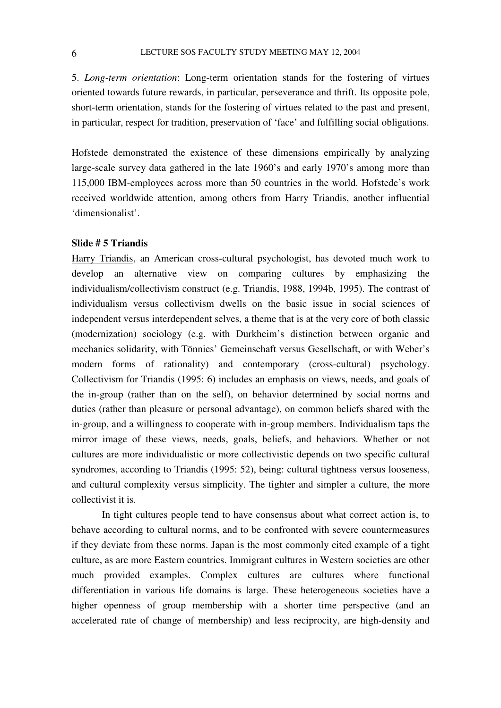5. *Long-term orientation*: Long-term orientation stands for the fostering of virtues oriented towards future rewards, in particular, perseverance and thrift. Its opposite pole, short-term orientation, stands for the fostering of virtues related to the past and present, in particular, respect for tradition, preservation of 'face' and fulfilling social obligations.

Hofstede demonstrated the existence of these dimensions empirically by analyzing large-scale survey data gathered in the late 1960's and early 1970's among more than 115,000 IBM-employees across more than 50 countries in the world. Hofstede's work received worldwide attention, among others from Harry Triandis, another influential 'dimensionalist'.

#### **Slide # 5 Triandis**

Harry Triandis, an American cross-cultural psychologist, has devoted much work to develop an alternative view on comparing cultures by emphasizing the individualism/collectivism construct (e.g. Triandis, 1988, 1994b, 1995). The contrast of individualism versus collectivism dwells on the basic issue in social sciences of independent versus interdependent selves, a theme that is at the very core of both classic (modernization) sociology (e.g. with Durkheim's distinction between organic and mechanics solidarity, with Tönnies' Gemeinschaft versus Gesellschaft, or with Weber's modern forms of rationality) and contemporary (cross-cultural) psychology. Collectivism for Triandis (1995: 6) includes an emphasis on views, needs, and goals of the in-group (rather than on the self), on behavior determined by social norms and duties (rather than pleasure or personal advantage), on common beliefs shared with the in-group, and a willingness to cooperate with in-group members. Individualism taps the mirror image of these views, needs, goals, beliefs, and behaviors. Whether or not cultures are more individualistic or more collectivistic depends on two specific cultural syndromes, according to Triandis (1995: 52), being: cultural tightness versus looseness, and cultural complexity versus simplicity. The tighter and simpler a culture, the more collectivist it is.

In tight cultures people tend to have consensus about what correct action is, to behave according to cultural norms, and to be confronted with severe countermeasures if they deviate from these norms. Japan is the most commonly cited example of a tight culture, as are more Eastern countries. Immigrant cultures in Western societies are other much provided examples. Complex cultures are cultures where functional differentiation in various life domains is large. These heterogeneous societies have a higher openness of group membership with a shorter time perspective (and an accelerated rate of change of membership) and less reciprocity, are high-density and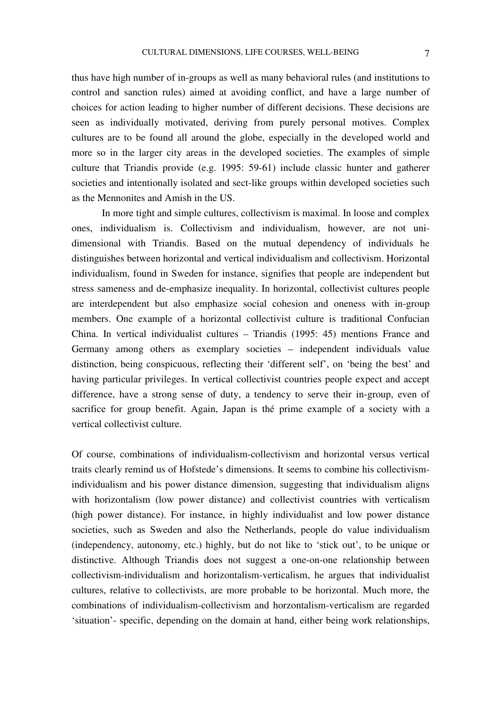thus have high number of in-groups as well as many behavioral rules (and institutions to control and sanction rules) aimed at avoiding conflict, and have a large number of choices for action leading to higher number of different decisions. These decisions are seen as individually motivated, deriving from purely personal motives. Complex cultures are to be found all around the globe, especially in the developed world and more so in the larger city areas in the developed societies. The examples of simple culture that Triandis provide (e.g. 1995: 59-61) include classic hunter and gatherer societies and intentionally isolated and sect-like groups within developed societies such as the Mennonites and Amish in the US.

In more tight and simple cultures, collectivism is maximal. In loose and complex ones, individualism is. Collectivism and individualism, however, are not unidimensional with Triandis. Based on the mutual dependency of individuals he distinguishes between horizontal and vertical individualism and collectivism. Horizontal individualism, found in Sweden for instance, signifies that people are independent but stress sameness and de-emphasize inequality. In horizontal, collectivist cultures people are interdependent but also emphasize social cohesion and oneness with in-group members. One example of a horizontal collectivist culture is traditional Confucian China. In vertical individualist cultures – Triandis (1995: 45) mentions France and Germany among others as exemplary societies – independent individuals value distinction, being conspicuous, reflecting their 'different self', on 'being the best' and having particular privileges. In vertical collectivist countries people expect and accept difference, have a strong sense of duty, a tendency to serve their in-group, even of sacrifice for group benefit. Again, Japan is thé prime example of a society with a vertical collectivist culture.

Of course, combinations of individualism-collectivism and horizontal versus vertical traits clearly remind us of Hofstede's dimensions. It seems to combine his collectivismindividualism and his power distance dimension, suggesting that individualism aligns with horizontalism (low power distance) and collectivist countries with verticalism (high power distance). For instance, in highly individualist and low power distance societies, such as Sweden and also the Netherlands, people do value individualism (independency, autonomy, etc.) highly, but do not like to 'stick out', to be unique or distinctive. Although Triandis does not suggest a one-on-one relationship between collectivism-individualism and horizontalism-verticalism, he argues that individualist cultures, relative to collectivists, are more probable to be horizontal. Much more, the combinations of individualism-collectivism and horzontalism-verticalism are regarded 'situation'- specific, depending on the domain at hand, either being work relationships,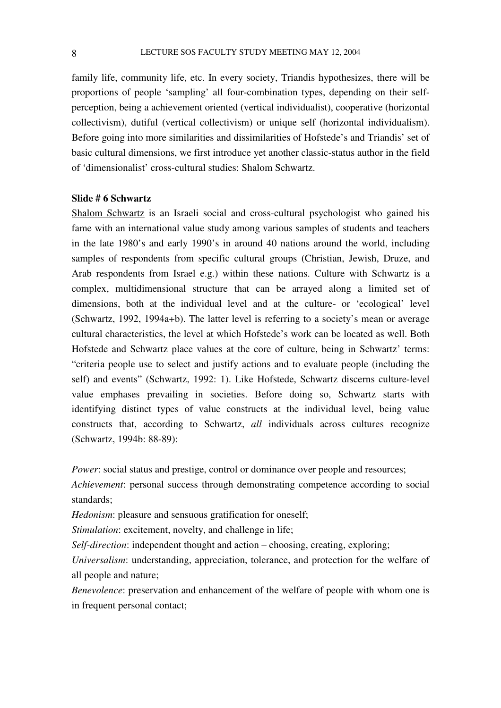family life, community life, etc. In every society, Triandis hypothesizes, there will be proportions of people 'sampling' all four-combination types, depending on their selfperception, being a achievement oriented (vertical individualist), cooperative (horizontal collectivism), dutiful (vertical collectivism) or unique self (horizontal individualism). Before going into more similarities and dissimilarities of Hofstede's and Triandis' set of basic cultural dimensions, we first introduce yet another classic-status author in the field of 'dimensionalist' cross-cultural studies: Shalom Schwartz.

## **Slide # 6 Schwartz**

Shalom Schwartz is an Israeli social and cross-cultural psychologist who gained his fame with an international value study among various samples of students and teachers in the late 1980's and early 1990's in around 40 nations around the world, including samples of respondents from specific cultural groups (Christian, Jewish, Druze, and Arab respondents from Israel e.g.) within these nations. Culture with Schwartz is a complex, multidimensional structure that can be arrayed along a limited set of dimensions, both at the individual level and at the culture- or 'ecological' level (Schwartz, 1992, 1994a+b). The latter level is referring to a society's mean or average cultural characteristics, the level at which Hofstede's work can be located as well. Both Hofstede and Schwartz place values at the core of culture, being in Schwartz' terms: "criteria people use to select and justify actions and to evaluate people (including the self) and events" (Schwartz, 1992: 1). Like Hofstede, Schwartz discerns culture-level value emphases prevailing in societies. Before doing so, Schwartz starts with identifying distinct types of value constructs at the individual level, being value constructs that, according to Schwartz, *all* individuals across cultures recognize (Schwartz, 1994b: 88-89):

*Power*: social status and prestige, control or dominance over people and resources;

*Achievement*: personal success through demonstrating competence according to social standards;

*Hedonism*: pleasure and sensuous gratification for oneself;

*Stimulation*: excitement, novelty, and challenge in life;

*Self-direction*: independent thought and action – choosing, creating, exploring;

*Universalism*: understanding, appreciation, tolerance, and protection for the welfare of all people and nature;

*Benevolence*: preservation and enhancement of the welfare of people with whom one is in frequent personal contact;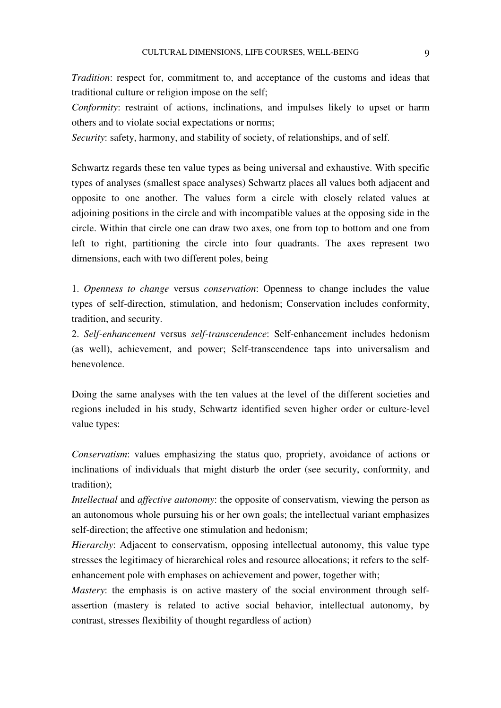*Tradition*: respect for, commitment to, and acceptance of the customs and ideas that traditional culture or religion impose on the self;

*Conformity:* restraint of actions, inclinations, and impulses likely to upset or harm others and to violate social expectations or norms;

*Security*: safety, harmony, and stability of society, of relationships, and of self.

Schwartz regards these ten value types as being universal and exhaustive. With specific types of analyses (smallest space analyses) Schwartz places all values both adjacent and opposite to one another. The values form a circle with closely related values at adjoining positions in the circle and with incompatible values at the opposing side in the circle. Within that circle one can draw two axes, one from top to bottom and one from left to right, partitioning the circle into four quadrants. The axes represent two dimensions, each with two different poles, being

1. *Openness to change* versus *conservation*: Openness to change includes the value types of self-direction, stimulation, and hedonism; Conservation includes conformity, tradition, and security.

2. *Self-enhancement* versus *self-transcendence*: Self-enhancement includes hedonism (as well), achievement, and power; Self-transcendence taps into universalism and benevolence.

Doing the same analyses with the ten values at the level of the different societies and regions included in his study, Schwartz identified seven higher order or culture-level value types:

*Conservatism*: values emphasizing the status quo, propriety, avoidance of actions or inclinations of individuals that might disturb the order (see security, conformity, and tradition);

*Intellectual* and *affective autonomy*: the opposite of conservatism, viewing the person as an autonomous whole pursuing his or her own goals; the intellectual variant emphasizes self-direction; the affective one stimulation and hedonism;

*Hierarchy*: Adjacent to conservatism, opposing intellectual autonomy, this value type stresses the legitimacy of hierarchical roles and resource allocations; it refers to the selfenhancement pole with emphases on achievement and power, together with;

*Mastery*: the emphasis is on active mastery of the social environment through selfassertion (mastery is related to active social behavior, intellectual autonomy, by contrast, stresses flexibility of thought regardless of action)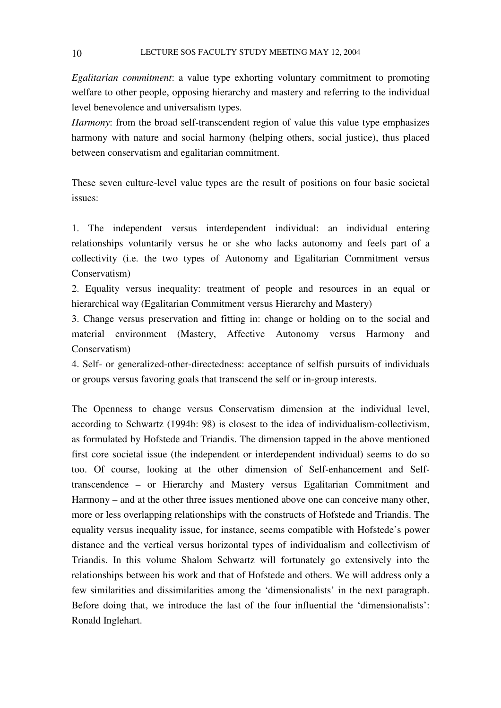*Egalitarian commitment*: a value type exhorting voluntary commitment to promoting welfare to other people, opposing hierarchy and mastery and referring to the individual level benevolence and universalism types.

*Harmony*: from the broad self-transcendent region of value this value type emphasizes harmony with nature and social harmony (helping others, social justice), thus placed between conservatism and egalitarian commitment.

These seven culture-level value types are the result of positions on four basic societal issues:

1. The independent versus interdependent individual: an individual entering relationships voluntarily versus he or she who lacks autonomy and feels part of a collectivity (i.e. the two types of Autonomy and Egalitarian Commitment versus Conservatism)

2. Equality versus inequality: treatment of people and resources in an equal or hierarchical way (Egalitarian Commitment versus Hierarchy and Mastery)

3. Change versus preservation and fitting in: change or holding on to the social and material environment (Mastery, Affective Autonomy versus Harmony and Conservatism)

4. Self- or generalized-other-directedness: acceptance of selfish pursuits of individuals or groups versus favoring goals that transcend the self or in-group interests.

The Openness to change versus Conservatism dimension at the individual level, according to Schwartz (1994b: 98) is closest to the idea of individualism-collectivism, as formulated by Hofstede and Triandis. The dimension tapped in the above mentioned first core societal issue (the independent or interdependent individual) seems to do so too. Of course, looking at the other dimension of Self-enhancement and Selftranscendence – or Hierarchy and Mastery versus Egalitarian Commitment and Harmony – and at the other three issues mentioned above one can conceive many other, more or less overlapping relationships with the constructs of Hofstede and Triandis. The equality versus inequality issue, for instance, seems compatible with Hofstede's power distance and the vertical versus horizontal types of individualism and collectivism of Triandis. In this volume Shalom Schwartz will fortunately go extensively into the relationships between his work and that of Hofstede and others. We will address only a few similarities and dissimilarities among the 'dimensionalists' in the next paragraph. Before doing that, we introduce the last of the four influential the 'dimensionalists': Ronald Inglehart.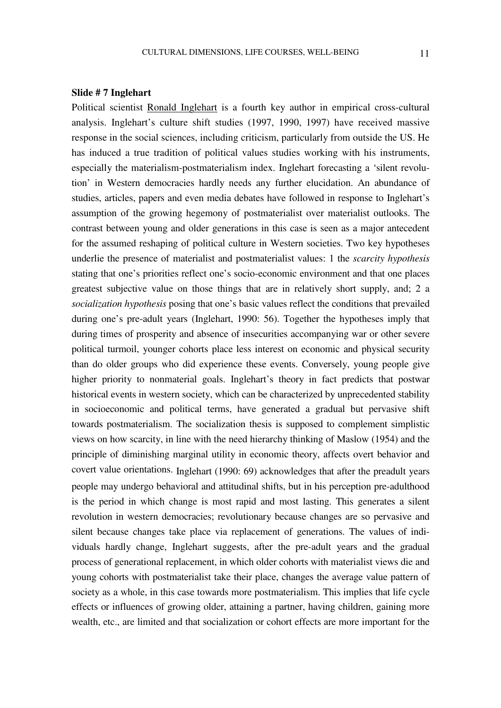### **Slide # 7 Inglehart**

Political scientist Ronald Inglehart is a fourth key author in empirical cross-cultural analysis. Inglehart's culture shift studies (1997, 1990, 1997) have received massive response in the social sciences, including criticism, particularly from outside the US. He has induced a true tradition of political values studies working with his instruments, especially the materialism-postmaterialism index. Inglehart forecasting a 'silent revolution' in Western democracies hardly needs any further elucidation. An abundance of studies, articles, papers and even media debates have followed in response to Inglehart's assumption of the growing hegemony of postmaterialist over materialist outlooks. The contrast between young and older generations in this case is seen as a major antecedent for the assumed reshaping of political culture in Western societies. Two key hypotheses underlie the presence of materialist and postmaterialist values: 1 the *scarcity hypothesis* stating that one's priorities reflect one's socio-economic environment and that one places greatest subjective value on those things that are in relatively short supply, and; 2 a *socialization hypothesis* posing that one's basic values reflect the conditions that prevailed during one's pre-adult years (Inglehart, 1990: 56). Together the hypotheses imply that during times of prosperity and absence of insecurities accompanying war or other severe political turmoil, younger cohorts place less interest on economic and physical security than do older groups who did experience these events. Conversely, young people give higher priority to nonmaterial goals. Inglehart's theory in fact predicts that postwar historical events in western society, which can be characterized by unprecedented stability in socioeconomic and political terms, have generated a gradual but pervasive shift towards postmaterialism. The socialization thesis is supposed to complement simplistic views on how scarcity, in line with the need hierarchy thinking of Maslow (1954) and the principle of diminishing marginal utility in economic theory, affects overt behavior and covert value orientations. Inglehart (1990: 69) acknowledges that after the preadult years people may undergo behavioral and attitudinal shifts, but in his perception pre-adulthood is the period in which change is most rapid and most lasting. This generates a silent revolution in western democracies; revolutionary because changes are so pervasive and silent because changes take place via replacement of generations. The values of individuals hardly change, Inglehart suggests, after the pre-adult years and the gradual process of generational replacement, in which older cohorts with materialist views die and young cohorts with postmaterialist take their place, changes the average value pattern of society as a whole, in this case towards more postmaterialism. This implies that life cycle effects or influences of growing older, attaining a partner, having children, gaining more wealth, etc., are limited and that socialization or cohort effects are more important for the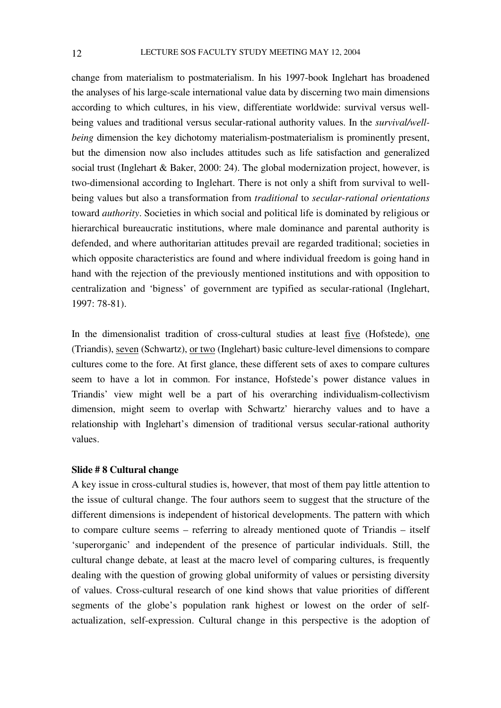change from materialism to postmaterialism. In his 1997-book Inglehart has broadened the analyses of his large-scale international value data by discerning two main dimensions according to which cultures, in his view, differentiate worldwide: survival versus wellbeing values and traditional versus secular-rational authority values. In the *survival/wellbeing* dimension the key dichotomy materialism-postmaterialism is prominently present, but the dimension now also includes attitudes such as life satisfaction and generalized social trust (Inglehart & Baker, 2000: 24). The global modernization project, however, is two-dimensional according to Inglehart. There is not only a shift from survival to wellbeing values but also a transformation from *traditional* to *secular-rational orientations* toward *authority*. Societies in which social and political life is dominated by religious or hierarchical bureaucratic institutions, where male dominance and parental authority is defended, and where authoritarian attitudes prevail are regarded traditional; societies in which opposite characteristics are found and where individual freedom is going hand in hand with the rejection of the previously mentioned institutions and with opposition to centralization and 'bigness' of government are typified as secular-rational (Inglehart, 1997: 78-81).

In the dimensionalist tradition of cross-cultural studies at least five (Hofstede), one (Triandis), seven (Schwartz), or two (Inglehart) basic culture-level dimensions to compare cultures come to the fore. At first glance, these different sets of axes to compare cultures seem to have a lot in common. For instance, Hofstede's power distance values in Triandis' view might well be a part of his overarching individualism-collectivism dimension, might seem to overlap with Schwartz' hierarchy values and to have a relationship with Inglehart's dimension of traditional versus secular-rational authority values.

#### **Slide # 8 Cultural change**

A key issue in cross-cultural studies is, however, that most of them pay little attention to the issue of cultural change. The four authors seem to suggest that the structure of the different dimensions is independent of historical developments. The pattern with which to compare culture seems – referring to already mentioned quote of Triandis – itself 'superorganic' and independent of the presence of particular individuals. Still, the cultural change debate, at least at the macro level of comparing cultures, is frequently dealing with the question of growing global uniformity of values or persisting diversity of values. Cross-cultural research of one kind shows that value priorities of different segments of the globe's population rank highest or lowest on the order of selfactualization, self-expression. Cultural change in this perspective is the adoption of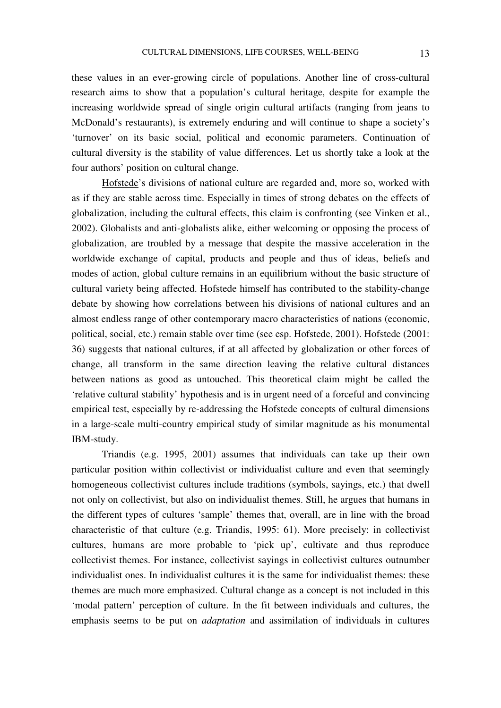these values in an ever-growing circle of populations. Another line of cross-cultural research aims to show that a population's cultural heritage, despite for example the increasing worldwide spread of single origin cultural artifacts (ranging from jeans to McDonald's restaurants), is extremely enduring and will continue to shape a society's 'turnover' on its basic social, political and economic parameters. Continuation of cultural diversity is the stability of value differences. Let us shortly take a look at the four authors' position on cultural change.

Hofstede's divisions of national culture are regarded and, more so, worked with as if they are stable across time. Especially in times of strong debates on the effects of globalization, including the cultural effects, this claim is confronting (see Vinken et al., 2002). Globalists and anti-globalists alike, either welcoming or opposing the process of globalization, are troubled by a message that despite the massive acceleration in the worldwide exchange of capital, products and people and thus of ideas, beliefs and modes of action, global culture remains in an equilibrium without the basic structure of cultural variety being affected. Hofstede himself has contributed to the stability-change debate by showing how correlations between his divisions of national cultures and an almost endless range of other contemporary macro characteristics of nations (economic, political, social, etc.) remain stable over time (see esp. Hofstede, 2001). Hofstede (2001: 36) suggests that national cultures, if at all affected by globalization or other forces of change, all transform in the same direction leaving the relative cultural distances between nations as good as untouched. This theoretical claim might be called the 'relative cultural stability' hypothesis and is in urgent need of a forceful and convincing empirical test, especially by re-addressing the Hofstede concepts of cultural dimensions in a large-scale multi-country empirical study of similar magnitude as his monumental IBM-study.

Triandis (e.g. 1995, 2001) assumes that individuals can take up their own particular position within collectivist or individualist culture and even that seemingly homogeneous collectivist cultures include traditions (symbols, sayings, etc.) that dwell not only on collectivist, but also on individualist themes. Still, he argues that humans in the different types of cultures 'sample' themes that, overall, are in line with the broad characteristic of that culture (e.g. Triandis, 1995: 61). More precisely: in collectivist cultures, humans are more probable to 'pick up', cultivate and thus reproduce collectivist themes. For instance, collectivist sayings in collectivist cultures outnumber individualist ones. In individualist cultures it is the same for individualist themes: these themes are much more emphasized. Cultural change as a concept is not included in this 'modal pattern' perception of culture. In the fit between individuals and cultures, the emphasis seems to be put on *adaptation* and assimilation of individuals in cultures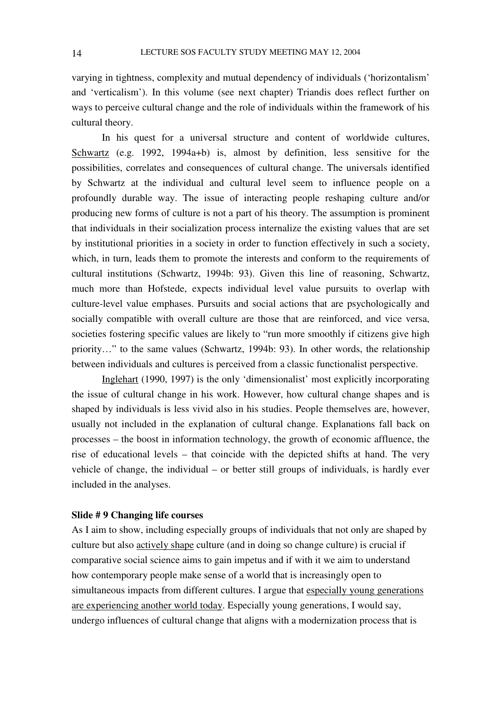varying in tightness, complexity and mutual dependency of individuals ('horizontalism' and 'verticalism'). In this volume (see next chapter) Triandis does reflect further on ways to perceive cultural change and the role of individuals within the framework of his cultural theory.

In his quest for a universal structure and content of worldwide cultures, Schwartz (e.g. 1992, 1994a+b) is, almost by definition, less sensitive for the possibilities, correlates and consequences of cultural change. The universals identified by Schwartz at the individual and cultural level seem to influence people on a profoundly durable way. The issue of interacting people reshaping culture and/or producing new forms of culture is not a part of his theory. The assumption is prominent that individuals in their socialization process internalize the existing values that are set by institutional priorities in a society in order to function effectively in such a society, which, in turn, leads them to promote the interests and conform to the requirements of cultural institutions (Schwartz, 1994b: 93). Given this line of reasoning, Schwartz, much more than Hofstede, expects individual level value pursuits to overlap with culture-level value emphases. Pursuits and social actions that are psychologically and socially compatible with overall culture are those that are reinforced, and vice versa, societies fostering specific values are likely to "run more smoothly if citizens give high priority…" to the same values (Schwartz, 1994b: 93). In other words, the relationship between individuals and cultures is perceived from a classic functionalist perspective.

Inglehart (1990, 1997) is the only 'dimensionalist' most explicitly incorporating the issue of cultural change in his work. However, how cultural change shapes and is shaped by individuals is less vivid also in his studies. People themselves are, however, usually not included in the explanation of cultural change. Explanations fall back on processes – the boost in information technology, the growth of economic affluence, the rise of educational levels – that coincide with the depicted shifts at hand. The very vehicle of change, the individual – or better still groups of individuals, is hardly ever included in the analyses.

#### **Slide # 9 Changing life courses**

As I aim to show, including especially groups of individuals that not only are shaped by culture but also actively shape culture (and in doing so change culture) is crucial if comparative social science aims to gain impetus and if with it we aim to understand how contemporary people make sense of a world that is increasingly open to simultaneous impacts from different cultures. I argue that especially young generations are experiencing another world today. Especially young generations, I would say, undergo influences of cultural change that aligns with a modernization process that is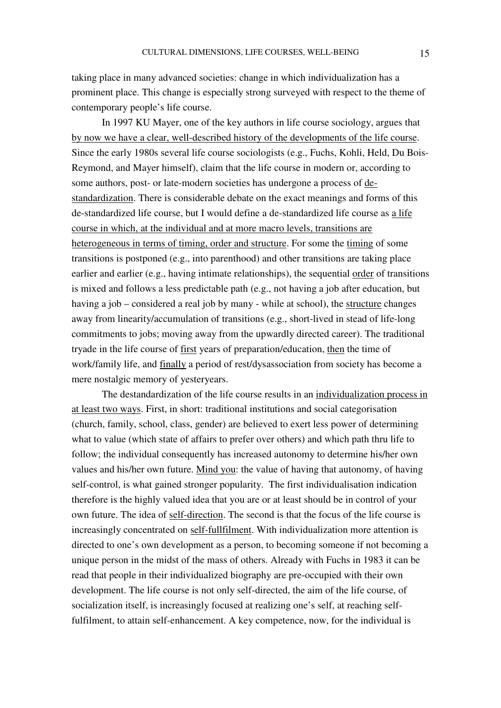taking place in many advanced societies: change in which individualization has a prominent place. This change is especially strong surveyed with respect to the theme of contemporary people's life course.

In 1997 KU Mayer, one of the key authors in life course sociology, argues that by now we have a clear, well-described history of the developments of the life course. Since the early 1980s several life course sociologists (e.g., Fuchs, Kohli, Held, Du Bois-Reymond, and Mayer himself), claim that the life course in modern or, according to some authors, post- or late-modern societies has undergone a process of destandardization. There is considerable debate on the exact meanings and forms of this de-standardized life course, but I would define a de-standardized life course as a life course in which, at the individual and at more macro levels, transitions are heterogeneous in terms of timing, order and structure. For some the timing of some transitions is postponed (e.g., into parenthood) and other transitions are taking place earlier and earlier (e.g., having intimate relationships), the sequential order of transitions is mixed and follows a less predictable path (e.g., not having a job after education, but having a job – considered a real job by many - while at school), the structure changes away from linearity/accumulation of transitions (e.g., short-lived in stead of life-long commitments to jobs; moving away from the upwardly directed career). The traditional tryade in the life course of first years of preparation/education, then the time of work/family life, and finally a period of rest/dysassociation from society has become a mere nostalgic memory of yesteryears.

The destandardization of the life course results in an individualization process in at least two ways. First, in short: traditional institutions and social categorisation (church, family, school, class, gender) are believed to exert less power of determining what to value (which state of affairs to prefer over others) and which path thru life to follow; the individual consequently has increased autonomy to determine his/her own values and his/her own future. Mind you: the value of having that autonomy, of having self-control, is what gained stronger popularity. The first individualisation indication therefore is the highly valued idea that you are or at least should be in control of your own future. The idea of self-direction. The second is that the focus of the life course is increasingly concentrated on self-fullfilment. With individualization more attention is directed to one's own development as a person, to becoming someone if not becoming a unique person in the midst of the mass of others. Already with Fuchs in 1983 it can be read that people in their individualized biography are pre-occupied with their own development. The life course is not only self-directed, the aim of the life course, of socialization itself, is increasingly focused at realizing one's self, at reaching selffulfilment, to attain self-enhancement. A key competence, now, for the individual is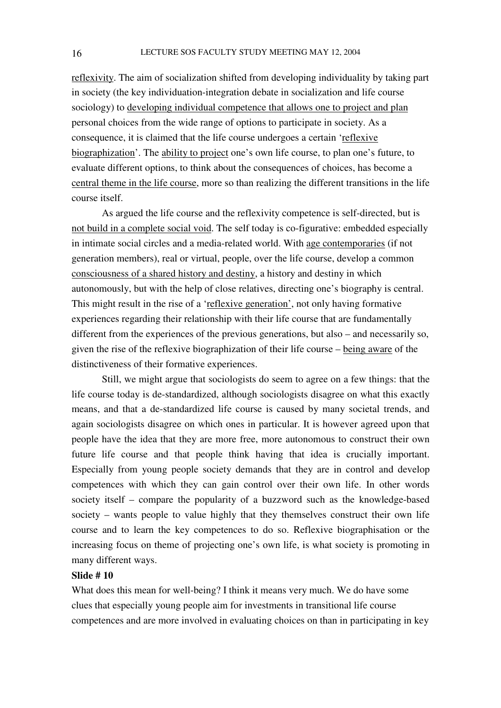reflexivity. The aim of socialization shifted from developing individuality by taking part in society (the key individuation-integration debate in socialization and life course sociology) to developing individual competence that allows one to project and plan personal choices from the wide range of options to participate in society. As a consequence, it is claimed that the life course undergoes a certain 'reflexive biographization'. The ability to project one's own life course, to plan one's future, to evaluate different options, to think about the consequences of choices, has become a central theme in the life course, more so than realizing the different transitions in the life course itself.

As argued the life course and the reflexivity competence is self-directed, but is not build in a complete social void. The self today is co-figurative: embedded especially in intimate social circles and a media-related world. With age contemporaries (if not generation members), real or virtual, people, over the life course, develop a common consciousness of a shared history and destiny, a history and destiny in which autonomously, but with the help of close relatives, directing one's biography is central. This might result in the rise of a 'reflexive generation', not only having formative experiences regarding their relationship with their life course that are fundamentally different from the experiences of the previous generations, but also – and necessarily so, given the rise of the reflexive biographization of their life course – being aware of the distinctiveness of their formative experiences.

Still, we might argue that sociologists do seem to agree on a few things: that the life course today is de-standardized, although sociologists disagree on what this exactly means, and that a de-standardized life course is caused by many societal trends, and again sociologists disagree on which ones in particular. It is however agreed upon that people have the idea that they are more free, more autonomous to construct their own future life course and that people think having that idea is crucially important. Especially from young people society demands that they are in control and develop competences with which they can gain control over their own life. In other words society itself – compare the popularity of a buzzword such as the knowledge-based society – wants people to value highly that they themselves construct their own life course and to learn the key competences to do so. Reflexive biographisation or the increasing focus on theme of projecting one's own life, is what society is promoting in many different ways.

# **Slide # 10**

What does this mean for well-being? I think it means very much. We do have some clues that especially young people aim for investments in transitional life course competences and are more involved in evaluating choices on than in participating in key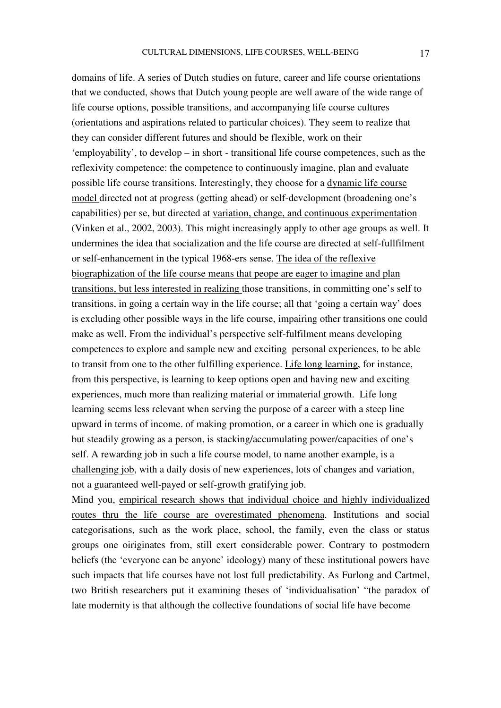domains of life. A series of Dutch studies on future, career and life course orientations that we conducted, shows that Dutch young people are well aware of the wide range of life course options, possible transitions, and accompanying life course cultures (orientations and aspirations related to particular choices). They seem to realize that they can consider different futures and should be flexible, work on their 'employability', to develop – in short - transitional life course competences, such as the reflexivity competence: the competence to continuously imagine, plan and evaluate possible life course transitions. Interestingly, they choose for a dynamic life course model directed not at progress (getting ahead) or self-development (broadening one's capabilities) per se, but directed at variation, change, and continuous experimentation (Vinken et al., 2002, 2003). This might increasingly apply to other age groups as well. It undermines the idea that socialization and the life course are directed at self-fullfilment or self-enhancement in the typical 1968-ers sense. The idea of the reflexive biographization of the life course means that peope are eager to imagine and plan transitions, but less interested in realizing those transitions, in committing one's self to transitions, in going a certain way in the life course; all that 'going a certain way' does is excluding other possible ways in the life course, impairing other transitions one could make as well. From the individual's perspective self-fulfilment means developing competences to explore and sample new and exciting personal experiences, to be able to transit from one to the other fulfilling experience. Life long learning, for instance, from this perspective, is learning to keep options open and having new and exciting experiences, much more than realizing material or immaterial growth. Life long learning seems less relevant when serving the purpose of a career with a steep line upward in terms of income. of making promotion, or a career in which one is gradually but steadily growing as a person, is stacking/accumulating power/capacities of one's self. A rewarding job in such a life course model, to name another example, is a challenging job, with a daily dosis of new experiences, lots of changes and variation, not a guaranteed well-payed or self-growth gratifying job.

Mind you, empirical research shows that individual choice and highly individualized routes thru the life course are overestimated phenomena. Institutions and social categorisations, such as the work place, school, the family, even the class or status groups one oiriginates from, still exert considerable power. Contrary to postmodern beliefs (the 'everyone can be anyone' ideology) many of these institutional powers have such impacts that life courses have not lost full predictability. As Furlong and Cartmel, two British researchers put it examining theses of 'individualisation' "the paradox of late modernity is that although the collective foundations of social life have become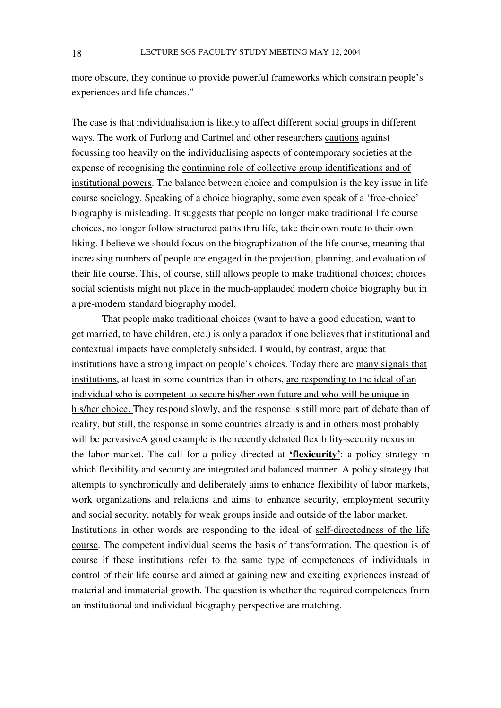more obscure, they continue to provide powerful frameworks which constrain people's experiences and life chances."

The case is that individualisation is likely to affect different social groups in different ways. The work of Furlong and Cartmel and other researchers cautions against focussing too heavily on the individualising aspects of contemporary societies at the expense of recognising the continuing role of collective group identifications and of institutional powers. The balance between choice and compulsion is the key issue in life course sociology. Speaking of a choice biography, some even speak of a 'free-choice' biography is misleading. It suggests that people no longer make traditional life course choices, no longer follow structured paths thru life, take their own route to their own liking. I believe we should focus on the biographization of the life course, meaning that increasing numbers of people are engaged in the projection, planning, and evaluation of their life course. This, of course, still allows people to make traditional choices; choices social scientists might not place in the much-applauded modern choice biography but in a pre-modern standard biography model.

That people make traditional choices (want to have a good education, want to get married, to have children, etc.) is only a paradox if one believes that institutional and contextual impacts have completely subsided. I would, by contrast, argue that institutions have a strong impact on people's choices. Today there are many signals that institutions, at least in some countries than in others, are responding to the ideal of an individual who is competent to secure his/her own future and who will be unique in his/her choice. They respond slowly, and the response is still more part of debate than of reality, but still, the response in some countries already is and in others most probably will be pervasiveA good example is the recently debated flexibility-security nexus in the labor market. The call for a policy directed at **'flexicurity'**: a policy strategy in which flexibility and security are integrated and balanced manner. A policy strategy that attempts to synchronically and deliberately aims to enhance flexibility of labor markets, work organizations and relations and aims to enhance security, employment security and social security, notably for weak groups inside and outside of the labor market. Institutions in other words are responding to the ideal of self-directedness of the life course. The competent individual seems the basis of transformation. The question is of course if these institutions refer to the same type of competences of individuals in control of their life course and aimed at gaining new and exciting expriences instead of material and immaterial growth. The question is whether the required competences from an institutional and individual biography perspective are matching.